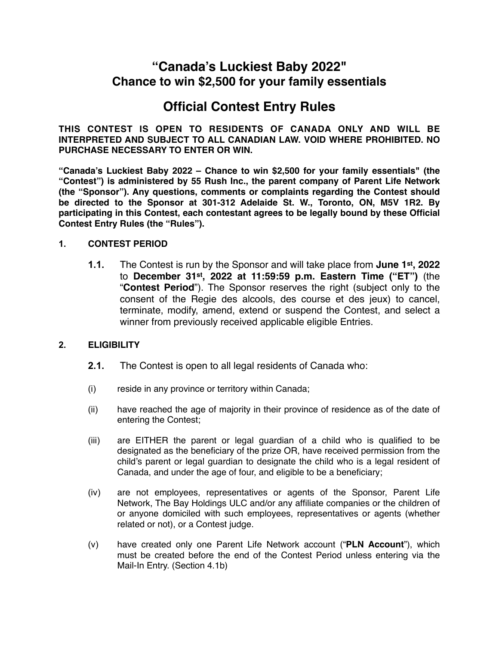# **"Canada's Luckiest Baby 2022" Chance to win \$2,500 for your family essentials**

# **Official Contest Entry Rules**

**THIS CONTEST IS OPEN TO RESIDENTS OF CANADA ONLY AND WILL BE INTERPRETED AND SUBJECT TO ALL CANADIAN LAW. VOID WHERE PROHIBITED. NO PURCHASE NECESSARY TO ENTER OR WIN.**

**"Canada's Luckiest Baby 2022 – Chance to win \$2,500 for your family essentials" (the "Contest") is administered by 55 Rush Inc., the parent company of Parent Life Network (the "Sponsor"). Any questions, comments or complaints regarding the Contest should be directed to the Sponsor at 301-312 Adelaide St. W., Toronto, ON, M5V 1R2. By participating in this Contest, each contestant agrees to be legally bound by these Official Contest Entry Rules (the "Rules").**

### **1. CONTEST PERIOD**

**1.1.** The Contest is run by the Sponsor and will take place from **June 1st, 2022**  to **December 31st, 2022 at 11:59:59 p.m. Eastern Time ("ET")** (the "**Contest Period**"). The Sponsor reserves the right (subject only to the consent of the Regie des alcools, des course et des jeux) to cancel, terminate, modify, amend, extend or suspend the Contest, and select a winner from previously received applicable eligible Entries.

### **2. ELIGIBILITY**

- **2.1.** The Contest is open to all legal residents of Canada who:
- (i) reside in any province or territory within Canada;
- (ii) have reached the age of majority in their province of residence as of the date of entering the Contest;
- (iii) are EITHER the parent or legal guardian of a child who is qualified to be designated as the beneficiary of the prize OR, have received permission from the child's parent or legal guardian to designate the child who is a legal resident of Canada, and under the age of four, and eligible to be a beneficiary;
- (iv) are not employees, representatives or agents of the Sponsor, Parent Life Network, The Bay Holdings ULC and/or any affiliate companies or the children of or anyone domiciled with such employees, representatives or agents (whether related or not), or a Contest judge.
- (v) have created only one Parent Life Network account ("**PLN Account**"), which must be created before the end of the Contest Period unless entering via the Mail-In Entry. (Section 4.1b)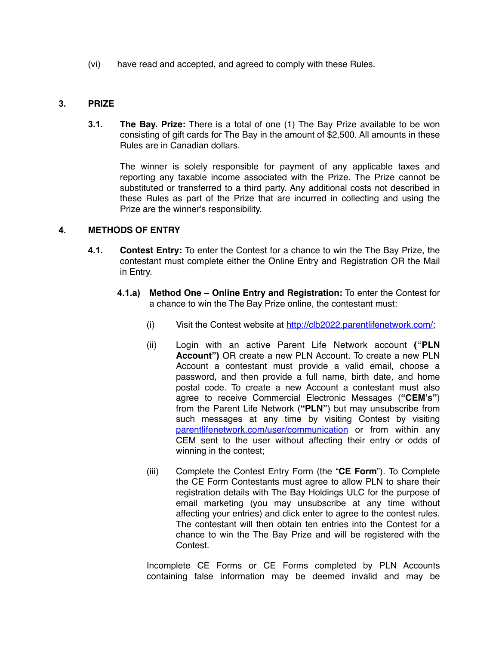(vi) have read and accepted, and agreed to comply with these Rules.

### **3. PRIZE**

**3.1. The Bay. Prize:** There is a total of one (1) The Bay Prize available to be won consisting of gift cards for The Bay in the amount of \$2,500. All amounts in these Rules are in Canadian dollars.

The winner is solely responsible for payment of any applicable taxes and reporting any taxable income associated with the Prize. The Prize cannot be substituted or transferred to a third party. Any additional costs not described in these Rules as part of the Prize that are incurred in collecting and using the Prize are the winner's responsibility.

#### **4. METHODS OF ENTRY**

- **4.1. Contest Entry:** To enter the Contest for a chance to win the The Bay Prize, the contestant must complete either the Online Entry and Registration OR the Mail in Entry.
	- **4.1.a) Method One Online Entry and Registration:** To enter the Contest for a chance to win the The Bay Prize online, the contestant must:
		- (i) Visit the Contest website at <http://clb2022.parentlifenetwork.com/>;
		- (ii) Login with an active Parent Life Network account **("PLN Account")** OR create a new PLN Account. To create a new PLN Account a contestant must provide a valid email, choose a password, and then provide a full name, birth date, and home postal code. To create a new Account a contestant must also agree to receive Commercial Electronic Messages (**"CEM's"**) from the Parent Life Network (**"PLN"**) but may unsubscribe from such messages at any time by visiting Contest by visiting [parentlifenetwork.com/user/communication](http://parentlifenetwork.com/user/communication) or from within any CEM sent to the user without affecting their entry or odds of winning in the contest;
		- (iii) Complete the Contest Entry Form (the "**CE Form**"). To Complete the CE Form Contestants must agree to allow PLN to share their registration details with The Bay Holdings ULC for the purpose of email marketing (you may unsubscribe at any time without affecting your entries) and click enter to agree to the contest rules. The contestant will then obtain ten entries into the Contest for a chance to win the The Bay Prize and will be registered with the Contest.

Incomplete CE Forms or CE Forms completed by PLN Accounts containing false information may be deemed invalid and may be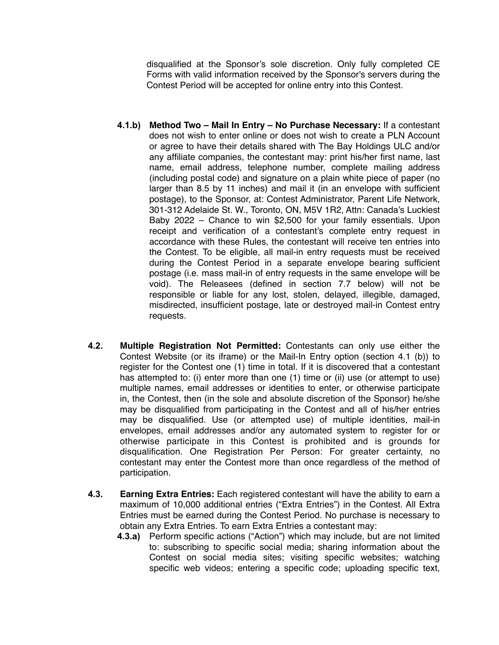disqualified at the Sponsor's sole discretion. Only fully completed CE Forms with valid information received by the Sponsor's servers during the Contest Period will be accepted for online entry into this Contest.

- **4.1.b) Method Two Mail In Entry No Purchase Necessary:** If a contestant does not wish to enter online or does not wish to create a PLN Account or agree to have their details shared with The Bay Holdings ULC and/or any affiliate companies, the contestant may: print his/her first name, last name, email address, telephone number, complete mailing address (including postal code) and signature on a plain white piece of paper (no larger than 8.5 by 11 inches) and mail it (in an envelope with sufficient postage), to the Sponsor, at: Contest Administrator, Parent Life Network, 301-312 Adelaide St. W., Toronto, ON, M5V 1R2, Attn: Canada's Luckiest Baby 2022 – Chance to win \$2,500 for your family essentials. Upon receipt and verification of a contestant's complete entry request in accordance with these Rules, the contestant will receive ten entries into the Contest. To be eligible, all mail-in entry requests must be received during the Contest Period in a separate envelope bearing sufficient postage (i.e. mass mail-in of entry requests in the same envelope will be void). The Releasees (defined in section 7.7 below) will not be responsible or liable for any lost, stolen, delayed, illegible, damaged, misdirected, insufficient postage, late or destroyed mail-in Contest entry requests.
- **4.2. Multiple Registration Not Permitted:** Contestants can only use either the Contest Website (or its iframe) or the Mail-In Entry option (section 4.1 (b)) to register for the Contest one (1) time in total. If it is discovered that a contestant has attempted to: (i) enter more than one (1) time or (ii) use (or attempt to use) multiple names, email addresses or identities to enter, or otherwise participate in, the Contest, then (in the sole and absolute discretion of the Sponsor) he/she may be disqualified from participating in the Contest and all of his/her entries may be disqualified. Use (or attempted use) of multiple identities, mail-in envelopes, email addresses and/or any automated system to register for or otherwise participate in this Contest is prohibited and is grounds for disqualification. One Registration Per Person: For greater certainty, no contestant may enter the Contest more than once regardless of the method of participation.
- **4.3. Earning Extra Entries:** Each registered contestant will have the ability to earn a maximum of 10,000 additional entries ("Extra Entries") in the Contest. All Extra Entries must be earned during the Contest Period. No purchase is necessary to obtain any Extra Entries. To earn Extra Entries a contestant may:
	- **4.3.a)** Perform specific actions ("Action") which may include, but are not limited to: subscribing to specific social media; sharing information about the Contest on social media sites; visiting specific websites; watching specific web videos; entering a specific code; uploading specific text,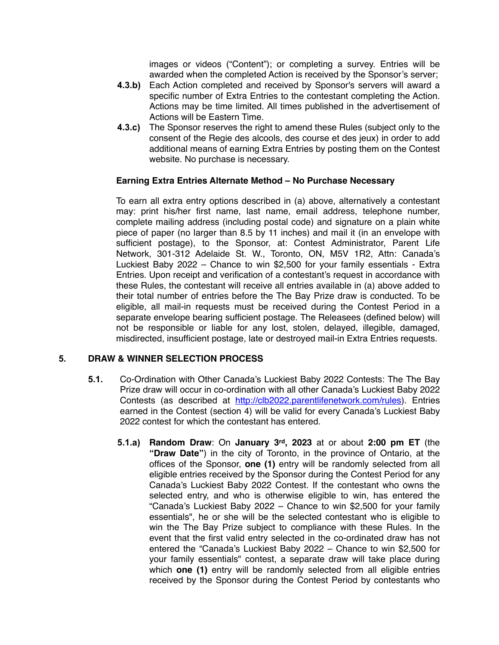images or videos ("Content"); or completing a survey. Entries will be awarded when the completed Action is received by the Sponsor's server;

- **4.3.b)** Each Action completed and received by Sponsor's servers will award a specific number of Extra Entries to the contestant completing the Action. Actions may be time limited. All times published in the advertisement of Actions will be Eastern Time.
- **4.3.c)** The Sponsor reserves the right to amend these Rules (subject only to the consent of the Regie des alcools, des course et des jeux) in order to add additional means of earning Extra Entries by posting them on the Contest website. No purchase is necessary.

### **Earning Extra Entries Alternate Method – No Purchase Necessary**

To earn all extra entry options described in (a) above, alternatively a contestant may: print his/her first name, last name, email address, telephone number, complete mailing address (including postal code) and signature on a plain white piece of paper (no larger than 8.5 by 11 inches) and mail it (in an envelope with sufficient postage), to the Sponsor, at: Contest Administrator, Parent Life Network, 301-312 Adelaide St. W., Toronto, ON, M5V 1R2, Attn: Canada's Luckiest Baby 2022 – Chance to win \$2,500 for your family essentials - Extra Entries. Upon receipt and verification of a contestant's request in accordance with these Rules, the contestant will receive all entries available in (a) above added to their total number of entries before the The Bay Prize draw is conducted. To be eligible, all mail-in requests must be received during the Contest Period in a separate envelope bearing sufficient postage. The Releasees (defined below) will not be responsible or liable for any lost, stolen, delayed, illegible, damaged, misdirected, insufficient postage, late or destroyed mail-in Extra Entries requests.

### **5. DRAW & WINNER SELECTION PROCESS**

- **5.1.** Co-Ordination with Other Canada's Luckiest Baby 2022 Contests: The The Bay Prize draw will occur in co-ordination with all other Canada's Luckiest Baby 2022 Contests (as described at [http://clb2022.parentlifenetwork.com/rules\)](http://clb2022.parentlifenetwork.com/rules). Entries earned in the Contest (section 4) will be valid for every Canada's Luckiest Baby 2022 contest for which the contestant has entered.
	- **5.1.a) Random Draw**: On **January 3rd, 2023** at or about **2:00 pm ET** (the **"Draw Date"**) in the city of Toronto, in the province of Ontario, at the offices of the Sponsor, **one (1)** entry will be randomly selected from all eligible entries received by the Sponsor during the Contest Period for any Canada's Luckiest Baby 2022 Contest. If the contestant who owns the selected entry, and who is otherwise eligible to win, has entered the "Canada's Luckiest Baby 2022 – Chance to win \$2,500 for your family essentials", he or she will be the selected contestant who is eligible to win the The Bay Prize subject to compliance with these Rules. In the event that the first valid entry selected in the co-ordinated draw has not entered the "Canada's Luckiest Baby 2022 – Chance to win \$2,500 for your family essentials" contest, a separate draw will take place during which **one (1)** entry will be randomly selected from all eligible entries received by the Sponsor during the Contest Period by contestants who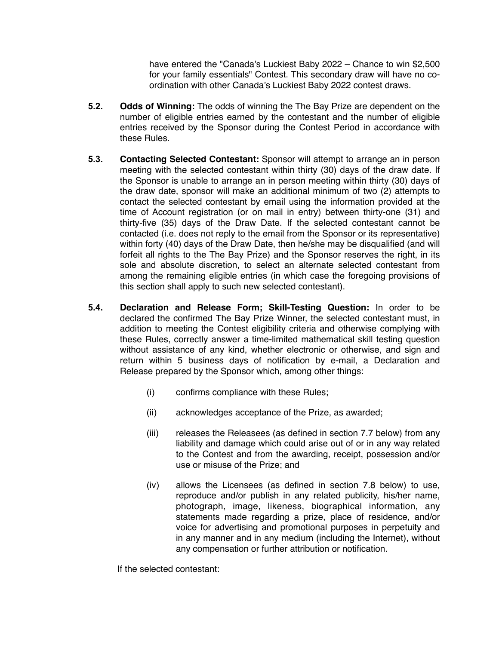have entered the "Canada's Luckiest Baby 2022 – Chance to win \$2,500 for your family essentials" Contest. This secondary draw will have no coordination with other Canada's Luckiest Baby 2022 contest draws.

- **5.2. Odds of Winning:** The odds of winning the The Bay Prize are dependent on the number of eligible entries earned by the contestant and the number of eligible entries received by the Sponsor during the Contest Period in accordance with these Rules.
- **5.3. Contacting Selected Contestant:** Sponsor will attempt to arrange an in person meeting with the selected contestant within thirty (30) days of the draw date. If the Sponsor is unable to arrange an in person meeting within thirty (30) days of the draw date, sponsor will make an additional minimum of two (2) attempts to contact the selected contestant by email using the information provided at the time of Account registration (or on mail in entry) between thirty-one (31) and thirty-five (35) days of the Draw Date. If the selected contestant cannot be contacted (i.e. does not reply to the email from the Sponsor or its representative) within forty (40) days of the Draw Date, then he/she may be disqualified (and will forfeit all rights to the The Bay Prize) and the Sponsor reserves the right, in its sole and absolute discretion, to select an alternate selected contestant from among the remaining eligible entries (in which case the foregoing provisions of this section shall apply to such new selected contestant).
- **5.4. Declaration and Release Form; Skill-Testing Question:** In order to be declared the confirmed The Bay Prize Winner, the selected contestant must, in addition to meeting the Contest eligibility criteria and otherwise complying with these Rules, correctly answer a time-limited mathematical skill testing question without assistance of any kind, whether electronic or otherwise, and sign and return within 5 business days of notification by e-mail, a Declaration and Release prepared by the Sponsor which, among other things:
	- (i) confirms compliance with these Rules;
	- (ii) acknowledges acceptance of the Prize, as awarded;
	- (iii) releases the Releasees (as defined in section 7.7 below) from any liability and damage which could arise out of or in any way related to the Contest and from the awarding, receipt, possession and/or use or misuse of the Prize; and
	- (iv) allows the Licensees (as defined in section 7.8 below) to use, reproduce and/or publish in any related publicity, his/her name, photograph, image, likeness, biographical information, any statements made regarding a prize, place of residence, and/or voice for advertising and promotional purposes in perpetuity and in any manner and in any medium (including the Internet), without any compensation or further attribution or notification.

If the selected contestant: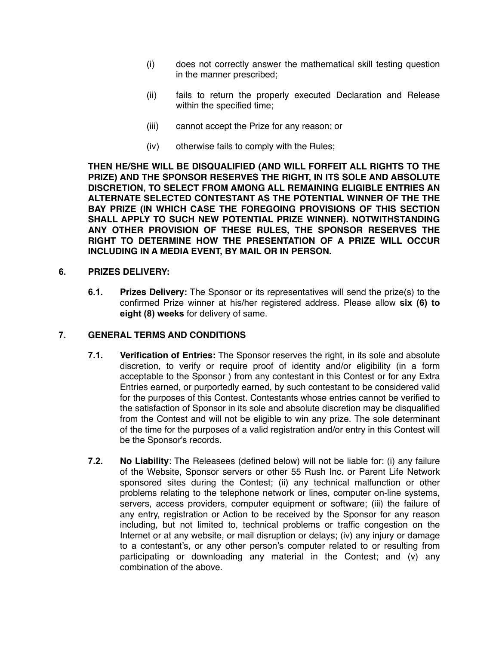- (i) does not correctly answer the mathematical skill testing question in the manner prescribed;
- (ii) fails to return the properly executed Declaration and Release within the specified time;
- (iii) cannot accept the Prize for any reason; or
- (iv) otherwise fails to comply with the Rules;

**THEN HE/SHE WILL BE DISQUALIFIED (AND WILL FORFEIT ALL RIGHTS TO THE PRIZE) AND THE SPONSOR RESERVES THE RIGHT, IN ITS SOLE AND ABSOLUTE DISCRETION, TO SELECT FROM AMONG ALL REMAINING ELIGIBLE ENTRIES AN ALTERNATE SELECTED CONTESTANT AS THE POTENTIAL WINNER OF THE THE BAY PRIZE (IN WHICH CASE THE FOREGOING PROVISIONS OF THIS SECTION SHALL APPLY TO SUCH NEW POTENTIAL PRIZE WINNER). NOTWITHSTANDING ANY OTHER PROVISION OF THESE RULES, THE SPONSOR RESERVES THE RIGHT TO DETERMINE HOW THE PRESENTATION OF A PRIZE WILL OCCUR INCLUDING IN A MEDIA EVENT, BY MAIL OR IN PERSON.**

#### **6. PRIZES DELIVERY:**

**6.1. Prizes Delivery:** The Sponsor or its representatives will send the prize(s) to the confirmed Prize winner at his/her registered address. Please allow **six (6) to eight (8) weeks** for delivery of same.

### **7. GENERAL TERMS AND CONDITIONS**

- **7.1. Verification of Entries:** The Sponsor reserves the right, in its sole and absolute discretion, to verify or require proof of identity and/or eligibility (in a form acceptable to the Sponsor ) from any contestant in this Contest or for any Extra Entries earned, or purportedly earned, by such contestant to be considered valid for the purposes of this Contest. Contestants whose entries cannot be verified to the satisfaction of Sponsor in its sole and absolute discretion may be disqualified from the Contest and will not be eligible to win any prize. The sole determinant of the time for the purposes of a valid registration and/or entry in this Contest will be the Sponsor's records.
- **7.2. No Liability**: The Releasees (defined below) will not be liable for: (i) any failure of the Website, Sponsor servers or other 55 Rush Inc. or Parent Life Network sponsored sites during the Contest; (ii) any technical malfunction or other problems relating to the telephone network or lines, computer on-line systems, servers, access providers, computer equipment or software; (iii) the failure of any entry, registration or Action to be received by the Sponsor for any reason including, but not limited to, technical problems or traffic congestion on the Internet or at any website, or mail disruption or delays; (iv) any injury or damage to a contestant's, or any other person's computer related to or resulting from participating or downloading any material in the Contest; and (v) any combination of the above.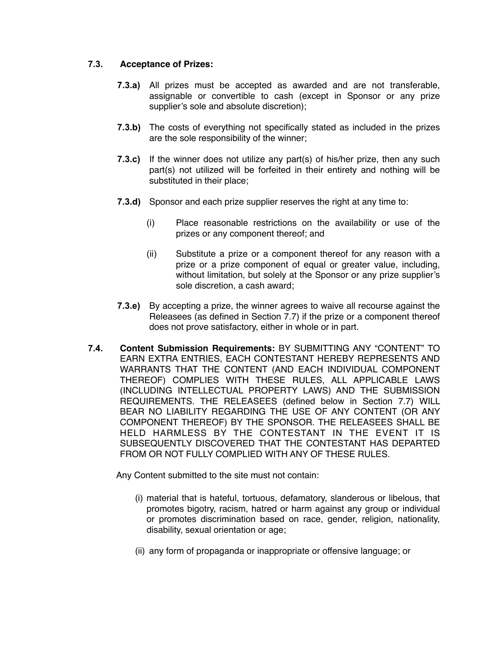## **7.3. Acceptance of Prizes:**

- **7.3.a)** All prizes must be accepted as awarded and are not transferable, assignable or convertible to cash (except in Sponsor or any prize supplier's sole and absolute discretion);
- **7.3.b)** The costs of everything not specifically stated as included in the prizes are the sole responsibility of the winner;
- **7.3.c)** If the winner does not utilize any part(s) of his/her prize, then any such part(s) not utilized will be forfeited in their entirety and nothing will be substituted in their place;
- **7.3.d)** Sponsor and each prize supplier reserves the right at any time to:
	- (i) Place reasonable restrictions on the availability or use of the prizes or any component thereof; and
	- (ii) Substitute a prize or a component thereof for any reason with a prize or a prize component of equal or greater value, including, without limitation, but solely at the Sponsor or any prize supplier's sole discretion, a cash award;
- **7.3.e)** By accepting a prize, the winner agrees to waive all recourse against the Releasees (as defined in Section 7.7) if the prize or a component thereof does not prove satisfactory, either in whole or in part.
- **7.4. Content Submission Requirements:** BY SUBMITTING ANY "CONTENT" TO EARN EXTRA ENTRIES, EACH CONTESTANT HEREBY REPRESENTS AND WARRANTS THAT THE CONTENT (AND EACH INDIVIDUAL COMPONENT THEREOF) COMPLIES WITH THESE RULES, ALL APPLICABLE LAWS (INCLUDING INTELLECTUAL PROPERTY LAWS) AND THE SUBMISSION REQUIREMENTS. THE RELEASEES (defined below in Section 7.7) WILL BEAR NO LIABILITY REGARDING THE USE OF ANY CONTENT (OR ANY COMPONENT THEREOF) BY THE SPONSOR. THE RELEASEES SHALL BE HELD HARMLESS BY THE CONTESTANT IN THE EVENT IT IS SUBSEQUENTLY DISCOVERED THAT THE CONTESTANT HAS DEPARTED FROM OR NOT FULLY COMPLIED WITH ANY OF THESE RULES.

Any Content submitted to the site must not contain:

- (i) material that is hateful, tortuous, defamatory, slanderous or libelous, that promotes bigotry, racism, hatred or harm against any group or individual or promotes discrimination based on race, gender, religion, nationality, disability, sexual orientation or age;
- (ii) any form of propaganda or inappropriate or offensive language; or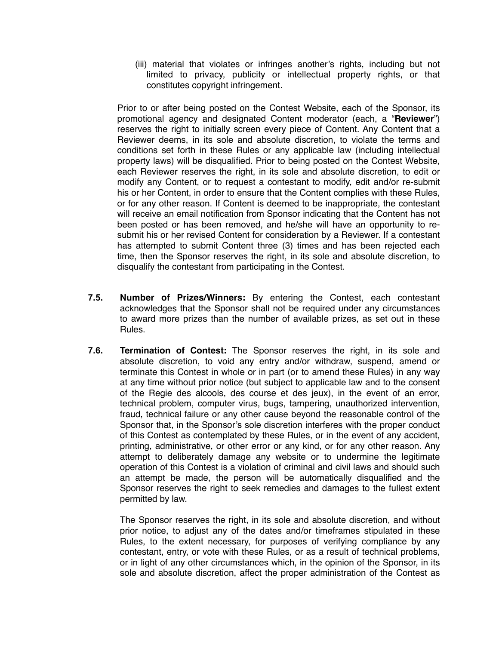(iii) material that violates or infringes another's rights, including but not limited to privacy, publicity or intellectual property rights, or that constitutes copyright infringement.

Prior to or after being posted on the Contest Website, each of the Sponsor, its promotional agency and designated Content moderator (each, a "**Reviewer**") reserves the right to initially screen every piece of Content. Any Content that a Reviewer deems, in its sole and absolute discretion, to violate the terms and conditions set forth in these Rules or any applicable law (including intellectual property laws) will be disqualified. Prior to being posted on the Contest Website, each Reviewer reserves the right, in its sole and absolute discretion, to edit or modify any Content, or to request a contestant to modify, edit and/or re-submit his or her Content, in order to ensure that the Content complies with these Rules, or for any other reason. If Content is deemed to be inappropriate, the contestant will receive an email notification from Sponsor indicating that the Content has not been posted or has been removed, and he/she will have an opportunity to resubmit his or her revised Content for consideration by a Reviewer. If a contestant has attempted to submit Content three (3) times and has been rejected each time, then the Sponsor reserves the right, in its sole and absolute discretion, to disqualify the contestant from participating in the Contest.

- **7.5. Number of Prizes/Winners:** By entering the Contest, each contestant acknowledges that the Sponsor shall not be required under any circumstances to award more prizes than the number of available prizes, as set out in these Rules.
- **7.6. Termination of Contest:** The Sponsor reserves the right, in its sole and absolute discretion, to void any entry and/or withdraw, suspend, amend or terminate this Contest in whole or in part (or to amend these Rules) in any way at any time without prior notice (but subject to applicable law and to the consent of the Regie des alcools, des course et des jeux), in the event of an error, technical problem, computer virus, bugs, tampering, unauthorized intervention, fraud, technical failure or any other cause beyond the reasonable control of the Sponsor that, in the Sponsor's sole discretion interferes with the proper conduct of this Contest as contemplated by these Rules, or in the event of any accident, printing, administrative, or other error or any kind, or for any other reason. Any attempt to deliberately damage any website or to undermine the legitimate operation of this Contest is a violation of criminal and civil laws and should such an attempt be made, the person will be automatically disqualified and the Sponsor reserves the right to seek remedies and damages to the fullest extent permitted by law.

The Sponsor reserves the right, in its sole and absolute discretion, and without prior notice, to adjust any of the dates and/or timeframes stipulated in these Rules, to the extent necessary, for purposes of verifying compliance by any contestant, entry, or vote with these Rules, or as a result of technical problems, or in light of any other circumstances which, in the opinion of the Sponsor, in its sole and absolute discretion, affect the proper administration of the Contest as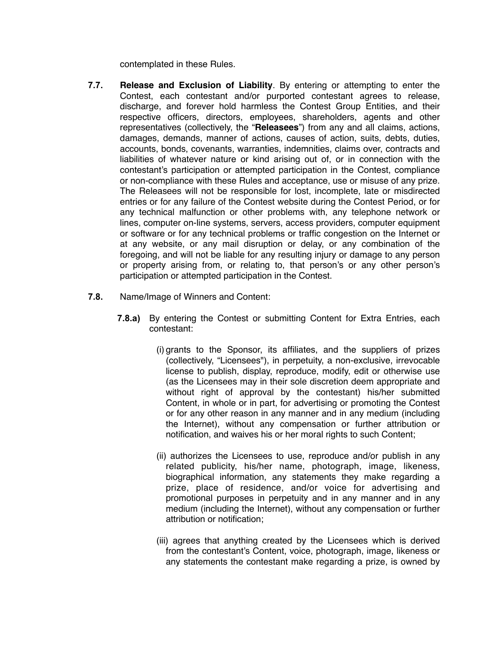contemplated in these Rules.

- **7.7. Release and Exclusion of Liability**. By entering or attempting to enter the Contest, each contestant and/or purported contestant agrees to release, discharge, and forever hold harmless the Contest Group Entities, and their respective officers, directors, employees, shareholders, agents and other representatives (collectively, the "**Releasees**") from any and all claims, actions, damages, demands, manner of actions, causes of action, suits, debts, duties, accounts, bonds, covenants, warranties, indemnities, claims over, contracts and liabilities of whatever nature or kind arising out of, or in connection with the contestant's participation or attempted participation in the Contest, compliance or non-compliance with these Rules and acceptance, use or misuse of any prize. The Releasees will not be responsible for lost, incomplete, late or misdirected entries or for any failure of the Contest website during the Contest Period, or for any technical malfunction or other problems with, any telephone network or lines, computer on-line systems, servers, access providers, computer equipment or software or for any technical problems or traffic congestion on the Internet or at any website, or any mail disruption or delay, or any combination of the foregoing, and will not be liable for any resulting injury or damage to any person or property arising from, or relating to, that person's or any other person's participation or attempted participation in the Contest.
- **7.8.** Name/Image of Winners and Content:
	- **7.8.a)** By entering the Contest or submitting Content for Extra Entries, each contestant:
		- (i) grants to the Sponsor, its affiliates, and the suppliers of prizes (collectively, "Licensees"), in perpetuity, a non-exclusive, irrevocable license to publish, display, reproduce, modify, edit or otherwise use (as the Licensees may in their sole discretion deem appropriate and without right of approval by the contestant) his/her submitted Content, in whole or in part, for advertising or promoting the Contest or for any other reason in any manner and in any medium (including the Internet), without any compensation or further attribution or notification, and waives his or her moral rights to such Content;
		- (ii) authorizes the Licensees to use, reproduce and/or publish in any related publicity, his/her name, photograph, image, likeness, biographical information, any statements they make regarding a prize, place of residence, and/or voice for advertising and promotional purposes in perpetuity and in any manner and in any medium (including the Internet), without any compensation or further attribution or notification;
		- (iii) agrees that anything created by the Licensees which is derived from the contestant's Content, voice, photograph, image, likeness or any statements the contestant make regarding a prize, is owned by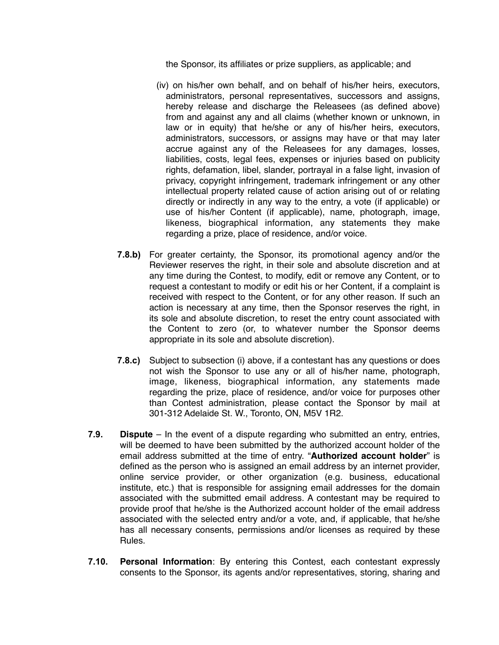the Sponsor, its affiliates or prize suppliers, as applicable; and

- (iv) on his/her own behalf, and on behalf of his/her heirs, executors, administrators, personal representatives, successors and assigns, hereby release and discharge the Releasees (as defined above) from and against any and all claims (whether known or unknown, in law or in equity) that he/she or any of his/her heirs, executors, administrators, successors, or assigns may have or that may later accrue against any of the Releasees for any damages, losses, liabilities, costs, legal fees, expenses or injuries based on publicity rights, defamation, libel, slander, portrayal in a false light, invasion of privacy, copyright infringement, trademark infringement or any other intellectual property related cause of action arising out of or relating directly or indirectly in any way to the entry, a vote (if applicable) or use of his/her Content (if applicable), name, photograph, image, likeness, biographical information, any statements they make regarding a prize, place of residence, and/or voice.
- **7.8.b)** For greater certainty, the Sponsor, its promotional agency and/or the Reviewer reserves the right, in their sole and absolute discretion and at any time during the Contest, to modify, edit or remove any Content, or to request a contestant to modify or edit his or her Content, if a complaint is received with respect to the Content, or for any other reason. If such an action is necessary at any time, then the Sponsor reserves the right, in its sole and absolute discretion, to reset the entry count associated with the Content to zero (or, to whatever number the Sponsor deems appropriate in its sole and absolute discretion).
- **7.8.c)** Subject to subsection (i) above, if a contestant has any questions or does not wish the Sponsor to use any or all of his/her name, photograph, image, likeness, biographical information, any statements made regarding the prize, place of residence, and/or voice for purposes other than Contest administration, please contact the Sponsor by mail at 301-312 Adelaide St. W., Toronto, ON, M5V 1R2.
- **7.9. Dispute**  In the event of a dispute regarding who submitted an entry, entries, will be deemed to have been submitted by the authorized account holder of the email address submitted at the time of entry. "**Authorized account holder**" is defined as the person who is assigned an email address by an internet provider, online service provider, or other organization (e.g. business, educational institute, etc.) that is responsible for assigning email addresses for the domain associated with the submitted email address. A contestant may be required to provide proof that he/she is the Authorized account holder of the email address associated with the selected entry and/or a vote, and, if applicable, that he/she has all necessary consents, permissions and/or licenses as required by these Rules.
- **7.10. Personal Information**: By entering this Contest, each contestant expressly consents to the Sponsor, its agents and/or representatives, storing, sharing and